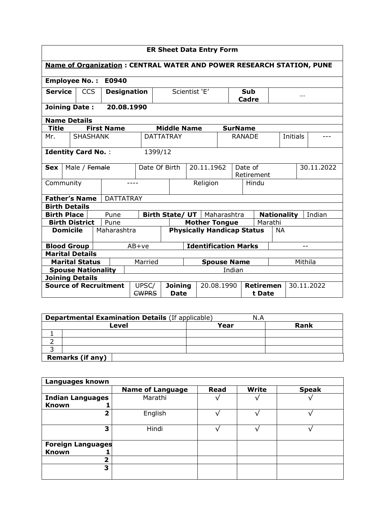|                                                                   | <b>ER Sheet Data Entry Form</b>                                             |                           |                    |                       |         |                             |                                      |  |                                   |                     |                            |         |           |            |            |  |
|-------------------------------------------------------------------|-----------------------------------------------------------------------------|---------------------------|--------------------|-----------------------|---------|-----------------------------|--------------------------------------|--|-----------------------------------|---------------------|----------------------------|---------|-----------|------------|------------|--|
|                                                                   | <b>Name of Organization: CENTRAL WATER AND POWER RESEARCH STATION, PUNE</b> |                           |                    |                       |         |                             |                                      |  |                                   |                     |                            |         |           |            |            |  |
|                                                                   | <b>Employee No.:</b><br>E0940                                               |                           |                    |                       |         |                             |                                      |  |                                   |                     |                            |         |           |            |            |  |
| <b>Service</b>                                                    |                                                                             | <b>CCS</b>                | <b>Designation</b> |                       |         | Scientist 'E'               |                                      |  |                                   | <b>Sub</b><br>Cadre |                            |         | $- - -$   |            |            |  |
| <b>Joining Date:</b>                                              |                                                                             |                           |                    | 20.08.1990            |         |                             |                                      |  |                                   |                     |                            |         |           |            |            |  |
| <b>Name Details</b>                                               |                                                                             |                           |                    |                       |         |                             |                                      |  |                                   |                     |                            |         |           |            |            |  |
| Title                                                             |                                                                             |                           |                    | <b>First Name</b>     |         |                             | <b>Middle Name</b>                   |  |                                   |                     | <b>SurName</b>             |         |           |            |            |  |
| Mr.                                                               |                                                                             | <b>SHASHANK</b>           |                    |                       |         |                             | <b>DATTATRAY</b>                     |  |                                   |                     | <b>RANADE</b>              |         |           | Initials   |            |  |
| <b>Identity Card No.:</b><br>1399/12                              |                                                                             |                           |                    |                       |         |                             |                                      |  |                                   |                     |                            |         |           |            |            |  |
| <b>Sex</b>                                                        |                                                                             | Male / Female             |                    |                       |         | 20.11.1962<br>Date Of Birth |                                      |  | Date of<br>Retirement             |                     |                            |         |           | 30.11.2022 |            |  |
| Community                                                         |                                                                             |                           |                    |                       | ----    | Religion                    |                                      |  | Hindu                             |                     |                            |         |           |            |            |  |
| <b>Father's Name</b>                                              |                                                                             |                           |                    | <b>DATTATRAY</b>      |         |                             |                                      |  |                                   |                     |                            |         |           |            |            |  |
| <b>Birth Details</b>                                              |                                                                             |                           |                    |                       |         |                             |                                      |  |                                   |                     |                            |         |           |            |            |  |
| <b>Birth Place</b>                                                |                                                                             |                           |                    | Pune                  |         |                             | <b>Birth State/ UT</b>   Maharashtra |  |                                   |                     | <b>Nationality</b>         |         |           |            | Indian     |  |
|                                                                   |                                                                             | <b>Birth District</b>     |                    | Pune                  |         |                             |                                      |  | <b>Mother Tongue</b>              |                     |                            | Marathi |           |            |            |  |
|                                                                   | <b>Domicile</b>                                                             |                           |                    | Maharashtra           |         |                             |                                      |  | <b>Physically Handicap Status</b> |                     |                            |         | <b>NA</b> |            |            |  |
| <b>Blood Group</b>                                                |                                                                             |                           |                    |                       | $AB+ve$ |                             |                                      |  | <b>Identification Marks</b>       |                     |                            |         |           |            | $-$        |  |
| <b>Marital Details</b>                                            |                                                                             |                           |                    |                       |         |                             |                                      |  |                                   |                     |                            |         |           |            |            |  |
| <b>Marital Status</b><br>Married<br><b>Spouse Name</b><br>Mithila |                                                                             |                           |                    |                       |         |                             |                                      |  |                                   |                     |                            |         |           |            |            |  |
|                                                                   |                                                                             | <b>Spouse Nationality</b> |                    |                       |         |                             |                                      |  |                                   | Indian              |                            |         |           |            |            |  |
| <b>Joining Details</b>                                            |                                                                             |                           |                    |                       |         |                             |                                      |  |                                   |                     |                            |         |           |            |            |  |
| <b>Source of Recruitment</b>                                      |                                                                             |                           |                    | UPSC/<br><b>CWPRS</b> |         | <b>Joining</b><br>Date      |                                      |  | 20.08.1990                        |                     | <b>Retiremen</b><br>t Date |         |           |            | 30.11.2022 |  |

| <b>Departmental Examination Details (If applicable)</b><br>N.A |      |      |  |  |  |  |  |  |
|----------------------------------------------------------------|------|------|--|--|--|--|--|--|
| Level                                                          | Year | Rank |  |  |  |  |  |  |
|                                                                |      |      |  |  |  |  |  |  |
|                                                                |      |      |  |  |  |  |  |  |
|                                                                |      |      |  |  |  |  |  |  |
| <b>Remarks (if any)</b>                                        |      |      |  |  |  |  |  |  |

| Languages known                               |                         |             |              |              |
|-----------------------------------------------|-------------------------|-------------|--------------|--------------|
|                                               | <b>Name of Language</b> | <b>Read</b> | <b>Write</b> | <b>Speak</b> |
| <b>Indian Languages</b><br><b>Known</b><br>J. | Marathi                 |             |              |              |
| 2                                             | English                 |             |              |              |
| 3                                             | Hindi                   |             |              |              |
| <b>Foreign Languages</b>                      |                         |             |              |              |
| <b>Known</b>                                  |                         |             |              |              |
| 2                                             |                         |             |              |              |
| 3                                             |                         |             |              |              |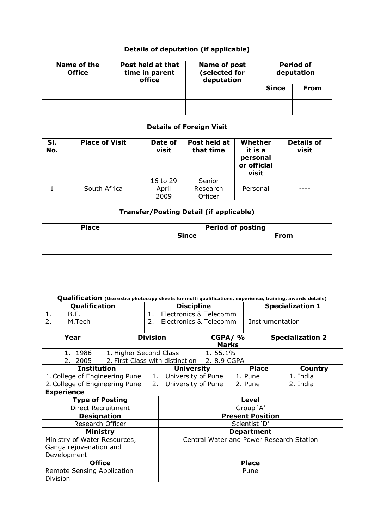## **Details of deputation (if applicable)**

| Name of the<br><b>Office</b> | Post held at that<br>time in parent<br>office | Name of post<br>(selected for<br>deputation | <b>Period of</b><br>deputation |             |  |
|------------------------------|-----------------------------------------------|---------------------------------------------|--------------------------------|-------------|--|
|                              |                                               |                                             | <b>Since</b>                   | <b>From</b> |  |
|                              |                                               |                                             |                                |             |  |

## **Details of Foreign Visit**

| SI.<br>No. | <b>Place of Visit</b> | Date of<br>visit          | Post held at<br>that time     | Whether<br>it is a<br>personal<br>or official<br>visit | <b>Details of</b><br>visit |
|------------|-----------------------|---------------------------|-------------------------------|--------------------------------------------------------|----------------------------|
|            | South Africa          | 16 to 29<br>April<br>2009 | Senior<br>Research<br>Officer | Personal                                               |                            |

## **Transfer/Posting Detail (if applicable)**

| <b>Place</b> | <b>Period of posting</b> |      |  |  |  |  |  |
|--------------|--------------------------|------|--|--|--|--|--|
|              | <b>Since</b>             | From |  |  |  |  |  |
|              |                          |      |  |  |  |  |  |
|              |                          |      |  |  |  |  |  |
|              |                          |      |  |  |  |  |  |
|              |                          |      |  |  |  |  |  |
|              |                          |      |  |  |  |  |  |

| Qualification (Use extra photocopy sheets for multi qualifications, experience, training, awards details) |                              |                   |                                               |              |         |                         |                         |  |
|-----------------------------------------------------------------------------------------------------------|------------------------------|-------------------|-----------------------------------------------|--------------|---------|-------------------------|-------------------------|--|
| Qualification                                                                                             |                              | <b>Discipline</b> |                                               |              |         | <b>Specialization 1</b> |                         |  |
| B.E.<br>1.                                                                                                | Electronics & Telecomm<br>1. |                   |                                               |              |         |                         |                         |  |
| M.Tech<br>2.                                                                                              |                              | 2.                | Electronics & Telecomm                        |              |         | Instrumentation         |                         |  |
|                                                                                                           |                              |                   |                                               |              |         |                         |                         |  |
| Year                                                                                                      |                              | <b>Division</b>   |                                               | $CGPA/$ %    |         |                         | <b>Specialization 2</b> |  |
|                                                                                                           |                              |                   |                                               | <b>Marks</b> |         |                         |                         |  |
| 1. 1986                                                                                                   | 1. Higher Second Class       |                   |                                               | 1.55.1%      |         |                         |                         |  |
| 2. 2005                                                                                                   |                              |                   | 2. First Class with distinction   2. 8.9 CGPA |              |         |                         |                         |  |
| <b>Institution</b>                                                                                        |                              |                   | <b>University</b>                             |              |         | <b>Place</b>            | <b>Country</b>          |  |
| 1. College of Engineering Pune                                                                            |                              | 1.                | University of Pune                            |              | 1. Pune |                         | 1. India                |  |
| 2. College of Engineering Pune                                                                            |                              | 2.                | University of Pune                            |              | 2. Pune |                         | 2. India                |  |
| <b>Experience</b>                                                                                         |                              |                   |                                               |              |         |                         |                         |  |
| <b>Type of Posting</b>                                                                                    |                              |                   | <b>Level</b>                                  |              |         |                         |                         |  |
| Direct Recruitment                                                                                        |                              |                   | Group 'A'                                     |              |         |                         |                         |  |
| <b>Designation</b>                                                                                        |                              |                   | <b>Present Position</b>                       |              |         |                         |                         |  |
| Research Officer                                                                                          |                              |                   | Scientist 'D'                                 |              |         |                         |                         |  |
| <b>Ministry</b>                                                                                           |                              |                   | <b>Department</b>                             |              |         |                         |                         |  |
| Ministry of Water Resources,                                                                              |                              |                   | Central Water and Power Research Station      |              |         |                         |                         |  |
| Ganga rejuvenation and                                                                                    |                              |                   |                                               |              |         |                         |                         |  |
| Development                                                                                               |                              |                   |                                               |              |         |                         |                         |  |
| <b>Office</b>                                                                                             |                              | <b>Place</b>      |                                               |              |         |                         |                         |  |
| <b>Remote Sensing Application</b>                                                                         |                              |                   | Pune                                          |              |         |                         |                         |  |
| Division                                                                                                  |                              |                   |                                               |              |         |                         |                         |  |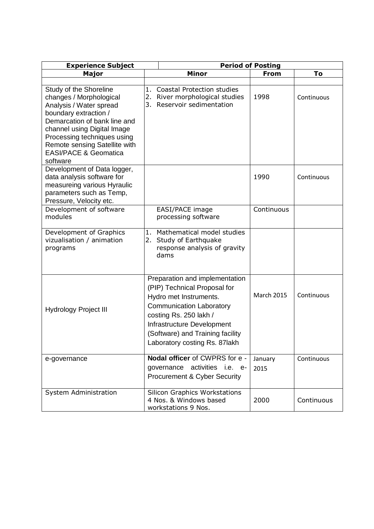| <b>Experience Subject</b>                                                                                                                                                                                                                                                            | <b>Period of Posting</b>                                                                                                                                                                                                                                 |                   |            |  |  |  |  |
|--------------------------------------------------------------------------------------------------------------------------------------------------------------------------------------------------------------------------------------------------------------------------------------|----------------------------------------------------------------------------------------------------------------------------------------------------------------------------------------------------------------------------------------------------------|-------------------|------------|--|--|--|--|
| <b>Major</b>                                                                                                                                                                                                                                                                         | <b>Minor</b>                                                                                                                                                                                                                                             | From              | To         |  |  |  |  |
| Study of the Shoreline<br>changes / Morphological<br>Analysis / Water spread<br>boundary extraction /<br>Demarcation of bank line and<br>channel using Digital Image<br>Processing techniques using<br>Remote sensing Satellite with<br><b>EASI/PACE &amp; Geomatica</b><br>software | 1. Coastal Protection studies<br>2. River morphological studies<br>3. Reservoir sedimentation                                                                                                                                                            | 1998              | Continuous |  |  |  |  |
| Development of Data logger,<br>data analysis software for<br>measureing various Hyraulic<br>parameters such as Temp,<br>Pressure, Velocity etc.                                                                                                                                      |                                                                                                                                                                                                                                                          | 1990              | Continuous |  |  |  |  |
| Development of software<br>modules                                                                                                                                                                                                                                                   | EASI/PACE image<br>processing software                                                                                                                                                                                                                   | Continuous        |            |  |  |  |  |
| Development of Graphics<br>vizualisation / animation<br>programs                                                                                                                                                                                                                     | 1. Mathematical model studies<br>2. Study of Earthquake<br>response analysis of gravity<br>dams                                                                                                                                                          |                   |            |  |  |  |  |
| <b>Hydrology Project III</b>                                                                                                                                                                                                                                                         | Preparation and implementation<br>(PIP) Technical Proposal for<br>Hydro met Instruments.<br><b>Communication Laboratory</b><br>costing Rs. 250 lakh /<br>Infrastructure Development<br>(Software) and Training facility<br>Laboratory costing Rs. 87lakh | <b>March 2015</b> | Continuous |  |  |  |  |
| e-governance                                                                                                                                                                                                                                                                         | Nodal officer of CWPRS for e -<br>activities i.e. e-<br>governance<br><b>Procurement &amp; Cyber Security</b>                                                                                                                                            | January<br>2015   | Continuous |  |  |  |  |
| System Administration                                                                                                                                                                                                                                                                | <b>Silicon Graphics Workstations</b><br>4 Nos. & Windows based<br>workstations 9 Nos.                                                                                                                                                                    | 2000              | Continuous |  |  |  |  |